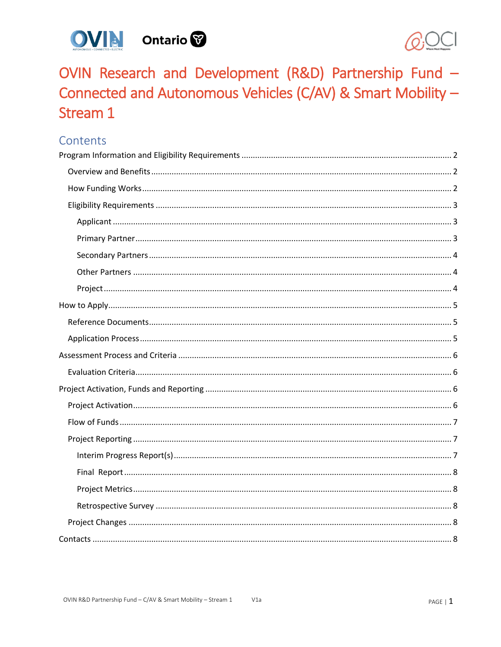



OVIN Research and Development (R&D) Partnership Fund -Connected and Autonomous Vehicles (C/AV) & Smart Mobility -Stream 1

# Contents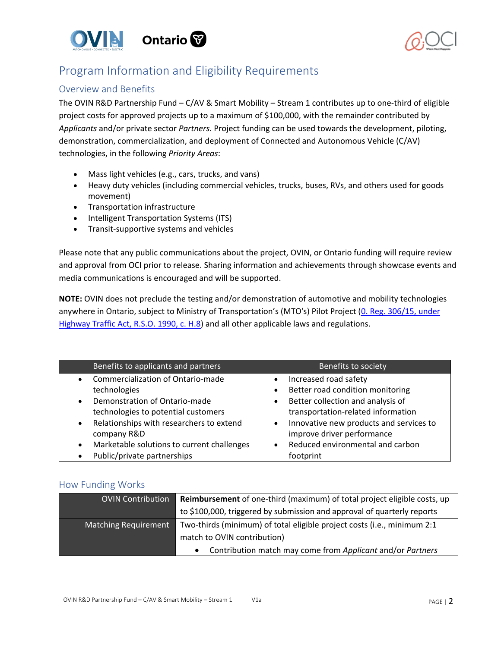



# <span id="page-1-0"></span>Program Information and Eligibility Requirements

## <span id="page-1-1"></span>Overview and Benefits

The OVIN R&D Partnership Fund – C/AV & Smart Mobility – Stream 1 contributes up to one-third of eligible project costs for approved projects up to a maximum of \$100,000, with the remainder contributed by *Applicants* and/or private sector *Partners*. Project funding can be used towards the development, piloting, demonstration, commercialization, and deployment of Connected and Autonomous Vehicle (C/AV) technologies, in the following *Priority Areas*:

- Mass light vehicles (e.g., cars, trucks, and vans)
- Heavy duty vehicles (including commercial vehicles, trucks, buses, RVs, and others used for goods movement)
- Transportation infrastructure
- Intelligent Transportation Systems (ITS)
- Transit-supportive systems and vehicles

Please note that any public communications about the project, OVIN, or Ontario funding will require review and approval from OCI prior to release. Sharing information and achievements through showcase events and media communications is encouraged and will be supported.

**NOTE:** OVIN does not preclude the testing and/or demonstration of automotive and mobility technologies anywhere in Ontario, subject to Ministry of Transportation's (MTO's) Pilot Project (0. Reg. 306/15, under [Highway Traffic Act, R.S.O. 1990, c. H.8\)](http://www.ontariocanada.com/registry/view.do?postingId=26147&language=en) and all other applicable laws and regulations.

| Benefits to applicants and partners                                                                                                                                                                                                                                                                          | Benefits to society                                                                                                                                                                                                                                                                                                             |
|--------------------------------------------------------------------------------------------------------------------------------------------------------------------------------------------------------------------------------------------------------------------------------------------------------------|---------------------------------------------------------------------------------------------------------------------------------------------------------------------------------------------------------------------------------------------------------------------------------------------------------------------------------|
| • Commercialization of Ontario-made<br>technologies<br>Demonstration of Ontario-made<br>$\bullet$<br>technologies to potential customers<br>• Relationships with researchers to extend<br>company R&D<br>Marketable solutions to current challenges<br>$\bullet$<br>Public/private partnerships<br>$\bullet$ | Increased road safety<br>$\bullet$<br>Better road condition monitoring<br>$\bullet$<br>Better collection and analysis of<br>$\bullet$<br>transportation-related information<br>Innovative new products and services to<br>$\bullet$<br>improve driver performance<br>Reduced environmental and carbon<br>$\bullet$<br>footprint |

### <span id="page-1-2"></span>How Funding Works

| <b>OVIN Contribution</b>    | Reimbursement of one-third (maximum) of total project eligible costs, up |
|-----------------------------|--------------------------------------------------------------------------|
|                             | to \$100,000, triggered by submission and approval of quarterly reports  |
| <b>Matching Requirement</b> | Two-thirds (minimum) of total eligible project costs (i.e., minimum 2:1  |
|                             | match to OVIN contribution)                                              |
|                             | Contribution match may come from Applicant and/or Partners               |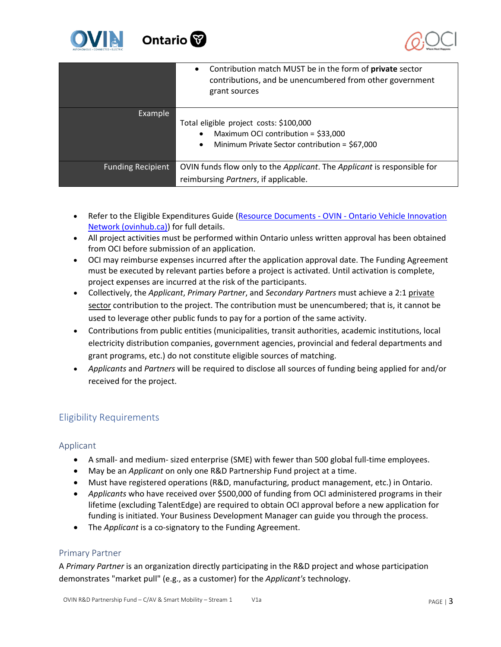



|                          | Contribution match MUST be in the form of private sector<br>$\bullet$<br>contributions, and be unencumbered from other government<br>grant sources         |
|--------------------------|------------------------------------------------------------------------------------------------------------------------------------------------------------|
| Example                  | Total eligible project costs: \$100,000<br>Maximum OCI contribution = \$33,000<br>$\bullet$<br>Minimum Private Sector contribution = \$67,000<br>$\bullet$ |
| <b>Funding Recipient</b> | OVIN funds flow only to the Applicant. The Applicant is responsible for<br>reimbursing <i>Partners</i> , if applicable.                                    |

- Refer to the Eligible Expenditures Guide (Resource Documents OVIN Ontario Vehicle Innovation [Network \(ovinhub.ca\)\)](https://www.ovinhub.ca/resource-documents/) for full details.
- All project activities must be performed within Ontario unless written approval has been obtained from OCI before submission of an application.
- OCI may reimburse expenses incurred after the application approval date. The Funding Agreement must be executed by relevant parties before a project is activated. Until activation is complete, project expenses are incurred at the risk of the participants.
- Collectively, the *Applicant*, *Primary Partner*, and *Secondary Partners* must achieve a 2:1 private sector contribution to the project. The contribution must be unencumbered; that is, it cannot be used to leverage other public funds to pay for a portion of the same activity.
- Contributions from public entities (municipalities, transit authorities, academic institutions, local electricity distribution companies, government agencies, provincial and federal departments and grant programs, etc.) do not constitute eligible sources of matching.
- *Applicants* and *Partners* will be required to disclose all sources of funding being applied for and/or received for the project.

## <span id="page-2-0"></span>Eligibility Requirements

## <span id="page-2-1"></span>Applicant

- A small- and medium- sized enterprise (SME) with fewer than 500 global full-time employees.
- May be an *Applicant* on only one R&D Partnership Fund project at a time.
- Must have registered operations (R&D, manufacturing, product management, etc.) in Ontario.
- *Applicants* who have received over \$500,000 of funding from OCI administered programs in their lifetime (excluding TalentEdge) are required to obtain OCI approval before a new application for funding is initiated. Your Business Development Manager can guide you through the process.
- The *Applicant* is a co-signatory to the Funding Agreement.

### <span id="page-2-2"></span>Primary Partner

A *Primary Partner* is an organization directly participating in the R&D project and whose participation demonstrates "market pull" (e.g., as a customer) for the *Applicant's* technology.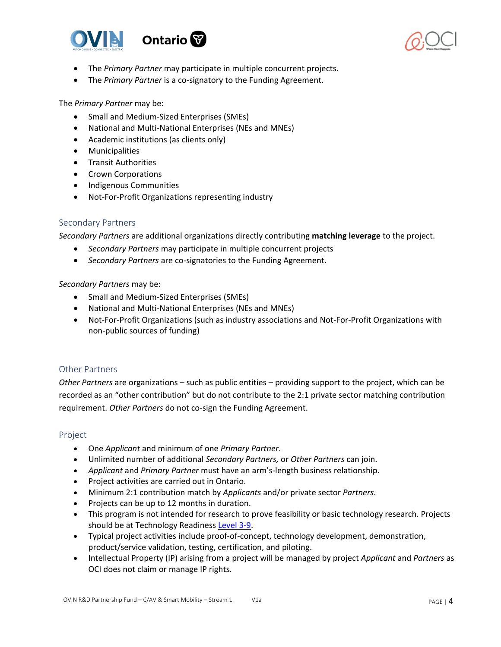



- The *Primary Partner* may participate in multiple concurrent projects.
- The *Primary Partner* is a co-signatory to the Funding Agreement.

The *Primary Partner* may be:

- Small and Medium-Sized Enterprises (SMEs)
- National and Multi-National Enterprises (NEs and MNEs)
- Academic institutions (as clients only)
- Municipalities
- Transit Authorities
- Crown Corporations
- Indigenous Communities
- Not-For-Profit Organizations representing industry

#### <span id="page-3-0"></span>Secondary Partners

*Secondary Partners* are additional organizations directly contributing **matching leverage** to the project.

- *Secondary Partners* may participate in multiple concurrent projects
- *Secondary Partners* are co-signatories to the Funding Agreement.

#### *Secondary Partners* may be:

- Small and Medium-Sized Enterprises (SMEs)
- National and Multi-National Enterprises (NEs and MNEs)
- Not-For-Profit Organizations (such as industry associations and Not-For-Profit Organizations with non-public sources of funding)

#### <span id="page-3-1"></span>Other Partners

*Other Partners* are organizations – such as public entities – providing support to the project, which can be recorded as an "other contribution" but do not contribute to the 2:1 private sector matching contribution requirement. *Other Partners* do not co-sign the Funding Agreement.

#### <span id="page-3-2"></span>Project

- One *Applicant* and minimum of one *Primary Partner*.
- Unlimited number of additional *Secondary Partners,* or *Other Partners* can join.
- *Applicant* and *Primary Partner* must have an arm's-length business relationship.
- Project activities are carried out in Ontario.
- Minimum 2:1 contribution match by *Applicants* and/or private sector *Partners*.
- Projects can be up to 12 months in duration.
- This program is not intended for research to prove feasibility or basic technology research. Projects should be at Technology Readiness [Level 3-9.](https://www.ic.gc.ca/eic/site/ito-oti.nsf/eng/00849.html)
- Typical project activities include proof-of-concept, technology development, demonstration, product/service validation, testing, certification, and piloting.
- Intellectual Property (IP) arising from a project will be managed by project *Applicant* and *Partners* as OCI does not claim or manage IP rights.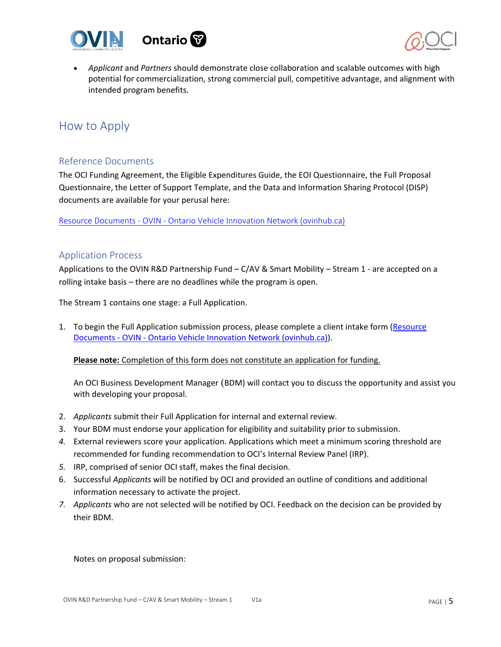



• *Applicant* and *Partners* should demonstrate close collaboration and scalable outcomes with high potential for commercialization, strong commercial pull, competitive advantage, and alignment with intended program benefits.

# <span id="page-4-0"></span>How to Apply

## <span id="page-4-1"></span>Reference Documents

The OCI Funding Agreement, the Eligible Expenditures Guide, the EOI Questionnaire, the Full Proposal Questionnaire, the Letter of Support Template, and the Data and Information Sharing Protocol (DISP) documents are available for your perusal here:

Resource Documents - OVIN - [Ontario Vehicle Innovation Network \(ovinhub.ca\)](https://www.ovinhub.ca/resource-documents/)

### <span id="page-4-2"></span>Application Process

Applications to the OVIN R&D Partnership Fund – C/AV & Smart Mobility – Stream 1 - are accepted on a rolling intake basis – there are no deadlines while the program is open.

The Stream 1 contains one stage: a Full Application.

1. To begin the Full Application submission process, please complete a client intake form (Resource Documents - OVIN - [Ontario Vehicle Innovation Network \(ovinhub.ca\)\)](https://www.ovinhub.ca/resource-documents/).

**Please note:** Completion of this form does not constitute an application for funding.

An OCI Business Development Manager (BDM) will contact you to discuss the opportunity and assist you with developing your proposal.

- 2. *Applicants* submit their Full Application for internal and external review.
- 3. Your BDM must endorse your application for eligibility and suitability prior to submission.
- *4.* External reviewers score your application. Applications which meet a minimum scoring threshold are recommended for funding recommendation to OCI's Internal Review Panel (IRP).
- *5.* IRP, comprised of senior OCI staff, makes the final decision.
- 6. Successful *Applicants* will be notified by OCI and provided an outline of conditions and additional information necessary to activate the project.
- *7. Applicants* who are not selected will be notified by OCI. Feedback on the decision can be provided by their BDM.

Notes on proposal submission: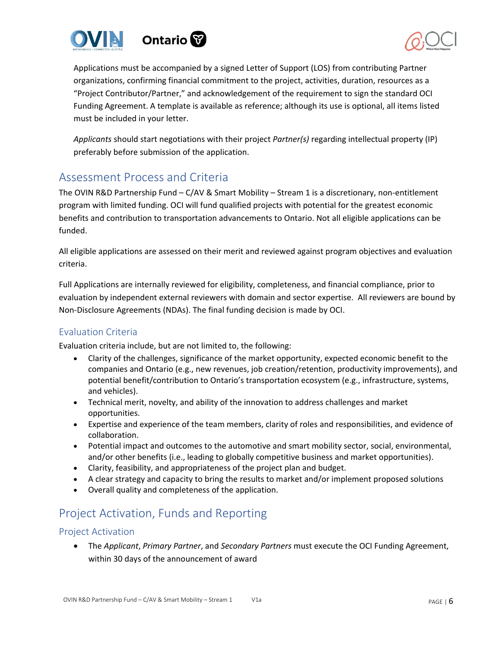



Applications must be accompanied by a signed Letter of Support (LOS) from contributing Partner organizations, confirming financial commitment to the project, activities, duration, resources as a "Project Contributor/Partner," and acknowledgement of the requirement to sign the standard OCI Funding Agreement. A template is available as reference; although its use is optional, all items listed must be included in your letter.

*Applicants* should start negotiations with their project *Partner(s)* regarding intellectual property (IP) preferably before submission of the application.

# <span id="page-5-0"></span>Assessment Process and Criteria

The OVIN R&D Partnership Fund – C/AV & Smart Mobility – Stream 1 is a discretionary, non-entitlement program with limited funding. OCI will fund qualified projects with potential for the greatest economic benefits and contribution to transportation advancements to Ontario. Not all eligible applications can be funded.

All eligible applications are assessed on their merit and reviewed against program objectives and evaluation criteria.

Full Applications are internally reviewed for eligibility, completeness, and financial compliance, prior to evaluation by independent external reviewers with domain and sector expertise. All reviewers are bound by Non-Disclosure Agreements (NDAs). The final funding decision is made by OCI.

## <span id="page-5-1"></span>Evaluation Criteria

Evaluation criteria include, but are not limited to, the following:

- Clarity of the challenges, significance of the market opportunity, expected economic benefit to the companies and Ontario (e.g., new revenues, job creation/retention, productivity improvements), and potential benefit/contribution to Ontario's transportation ecosystem (e.g., infrastructure, systems, and vehicles).
- Technical merit, novelty, and ability of the innovation to address challenges and market opportunities.
- Expertise and experience of the team members, clarity of roles and responsibilities, and evidence of collaboration.
- Potential impact and outcomes to the automotive and smart mobility sector, social, environmental, and/or other benefits (i.e., leading to globally competitive business and market opportunities).
- Clarity, feasibility, and appropriateness of the project plan and budget.
- A clear strategy and capacity to bring the results to market and/or implement proposed solutions
- Overall quality and completeness of the application.

# <span id="page-5-2"></span>Project Activation, Funds and Reporting

## <span id="page-5-3"></span>Project Activation

• The *Applicant*, *Primary Partner*, and *Secondary Partners* must execute the OCI Funding Agreement, within 30 days of the announcement of award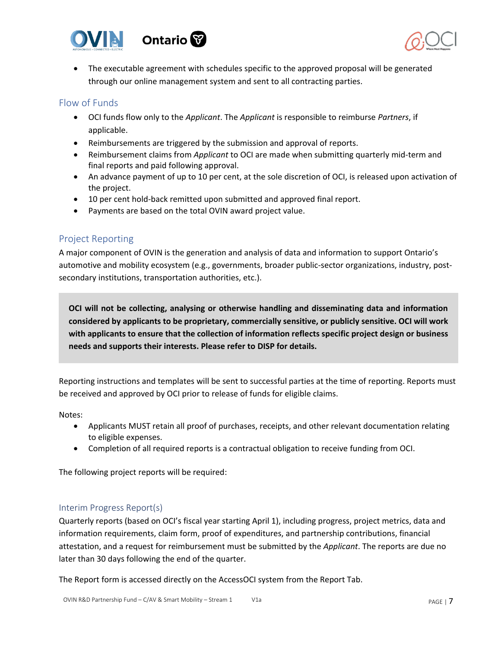



• The executable agreement with schedules specific to the approved proposal will be generated through our online management system and sent to all contracting parties.

## <span id="page-6-0"></span>Flow of Funds

- OCI funds flow only to the *Applicant*. The *Applicant* is responsible to reimburse *Partners*, if applicable.
- Reimbursements are triggered by the submission and approval of reports.
- Reimbursement claims from *Applicant* to OCI are made when submitting quarterly mid-term and final reports and paid following approval.
- An advance payment of up to 10 per cent, at the sole discretion of OCI, is released upon activation of the project.
- 10 per cent hold-back remitted upon submitted and approved final report.
- Payments are based on the total OVIN award project value.

## <span id="page-6-1"></span>Project Reporting

A major component of OVIN is the generation and analysis of data and information to support Ontario's automotive and mobility ecosystem (e.g., governments, broader public-sector organizations, industry, postsecondary institutions, transportation authorities, etc.).

**OCI will not be collecting, analysing or otherwise handling and disseminating data and information considered by applicants to be proprietary, commercially sensitive, or publicly sensitive. OCI will work with applicants to ensure that the collection of information reflects specific project design or business needs and supports their interests. Please refer to DISP for details.**

Reporting instructions and templates will be sent to successful parties at the time of reporting. Reports must be received and approved by OCI prior to release of funds for eligible claims.

Notes:

- Applicants MUST retain all proof of purchases, receipts, and other relevant documentation relating to eligible expenses.
- Completion of all required reports is a contractual obligation to receive funding from OCI.

The following project reports will be required:

## <span id="page-6-2"></span>Interim Progress Report(s)

Quarterly reports (based on OCI's fiscal year starting April 1), including progress, project metrics, data and information requirements, claim form, proof of expenditures, and partnership contributions, financial attestation, and a request for reimbursement must be submitted by the *Applicant*. The reports are due no later than 30 days following the end of the quarter.

The Report form is accessed directly on the AccessOCI system from the Report Tab.